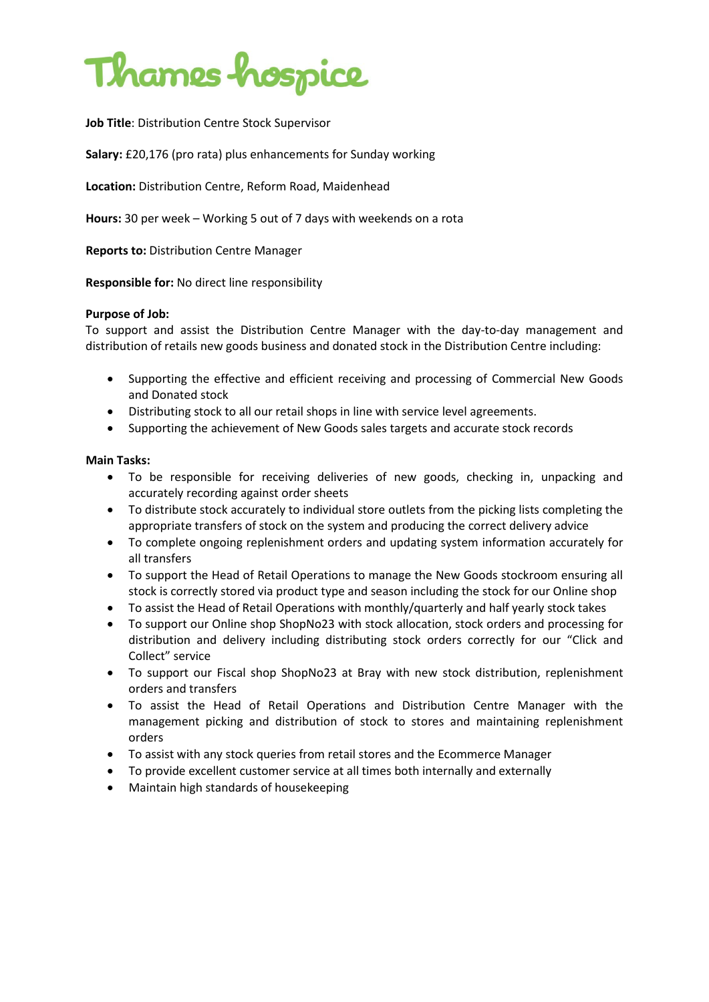

**Job Title**: Distribution Centre Stock Supervisor

**Salary:** £20,176 (pro rata) plus enhancements for Sunday working

**Location:** Distribution Centre, Reform Road, Maidenhead

**Hours:** 30 per week – Working 5 out of 7 days with weekends on a rota

**Reports to:** Distribution Centre Manager

**Responsible for:** No direct line responsibility

### **Purpose of Job:**

To support and assist the Distribution Centre Manager with the day-to-day management and distribution of retails new goods business and donated stock in the Distribution Centre including:

- Supporting the effective and efficient receiving and processing of Commercial New Goods and Donated stock
- Distributing stock to all our retail shops in line with service level agreements.
- Supporting the achievement of New Goods sales targets and accurate stock records

### **Main Tasks:**

- To be responsible for receiving deliveries of new goods, checking in, unpacking and accurately recording against order sheets
- To distribute stock accurately to individual store outlets from the picking lists completing the appropriate transfers of stock on the system and producing the correct delivery advice
- To complete ongoing replenishment orders and updating system information accurately for all transfers
- To support the Head of Retail Operations to manage the New Goods stockroom ensuring all stock is correctly stored via product type and season including the stock for our Online shop
- To assist the Head of Retail Operations with monthly/quarterly and half yearly stock takes
- To support our Online shop ShopNo23 with stock allocation, stock orders and processing for distribution and delivery including distributing stock orders correctly for our "Click and Collect" service
- To support our Fiscal shop ShopNo23 at Bray with new stock distribution, replenishment orders and transfers
- To assist the Head of Retail Operations and Distribution Centre Manager with the management picking and distribution of stock to stores and maintaining replenishment orders
- To assist with any stock queries from retail stores and the Ecommerce Manager
- To provide excellent customer service at all times both internally and externally
- Maintain high standards of housekeeping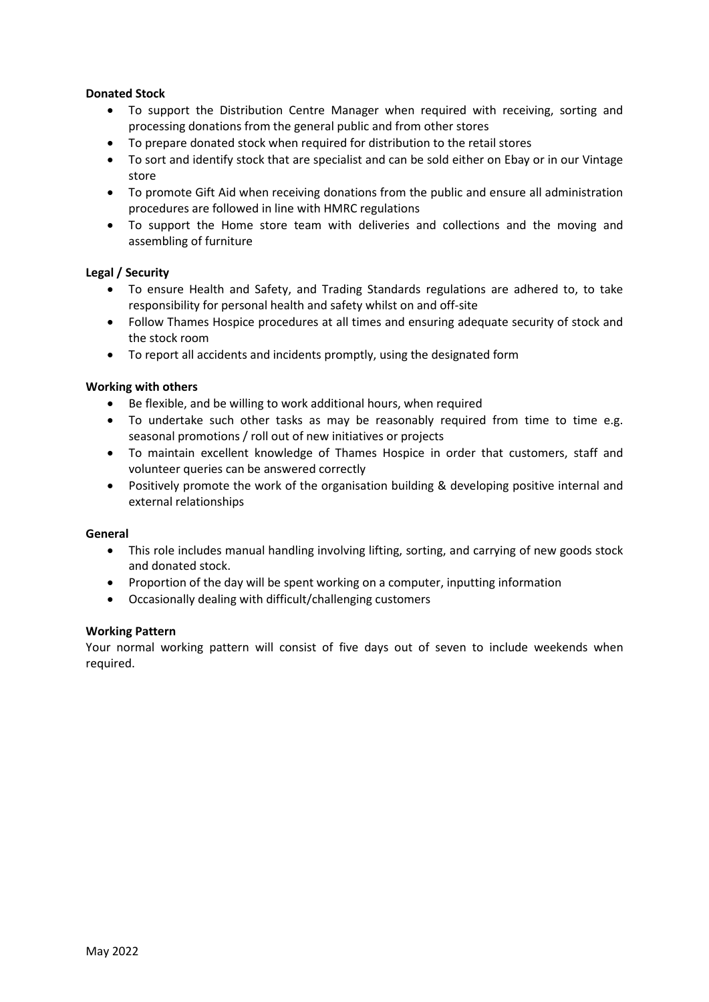# **Donated Stock**

- To support the Distribution Centre Manager when required with receiving, sorting and processing donations from the general public and from other stores
- To prepare donated stock when required for distribution to the retail stores
- To sort and identify stock that are specialist and can be sold either on Ebay or in our Vintage store
- To promote Gift Aid when receiving donations from the public and ensure all administration procedures are followed in line with HMRC regulations
- To support the Home store team with deliveries and collections and the moving and assembling of furniture

# **Legal / Security**

- To ensure Health and Safety, and Trading Standards regulations are adhered to, to take responsibility for personal health and safety whilst on and off-site
- Follow Thames Hospice procedures at all times and ensuring adequate security of stock and the stock room
- To report all accidents and incidents promptly, using the designated form

# **Working with others**

- Be flexible, and be willing to work additional hours, when required
- To undertake such other tasks as may be reasonably required from time to time e.g. seasonal promotions / roll out of new initiatives or projects
- To maintain excellent knowledge of Thames Hospice in order that customers, staff and volunteer queries can be answered correctly
- Positively promote the work of the organisation building & developing positive internal and external relationships

# **General**

- This role includes manual handling involving lifting, sorting, and carrying of new goods stock and donated stock.
- Proportion of the day will be spent working on a computer, inputting information
- Occasionally dealing with difficult/challenging customers

# **Working Pattern**

Your normal working pattern will consist of five days out of seven to include weekends when required.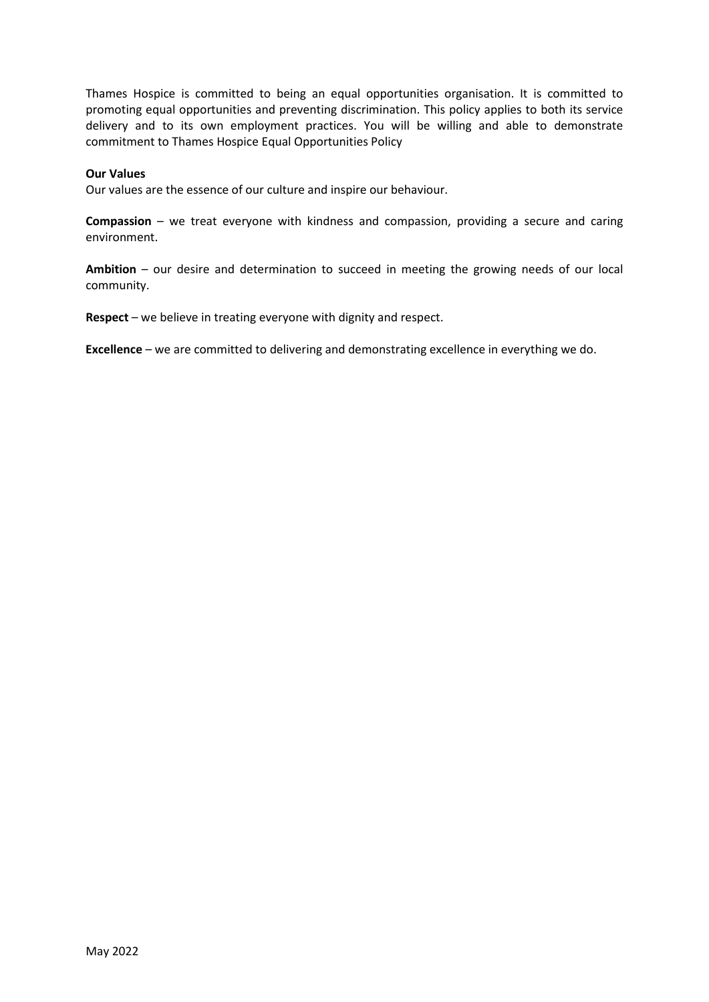Thames Hospice is committed to being an equal opportunities organisation. It is committed to promoting equal opportunities and preventing discrimination. This policy applies to both its service delivery and to its own employment practices. You will be willing and able to demonstrate commitment to Thames Hospice Equal Opportunities Policy

### **Our Values**

Our values are the essence of our culture and inspire our behaviour.

**Compassion** – we treat everyone with kindness and compassion, providing a secure and caring environment.

**Ambition** – our desire and determination to succeed in meeting the growing needs of our local community.

**Respect** – we believe in treating everyone with dignity and respect.

**Excellence** – we are committed to delivering and demonstrating excellence in everything we do.